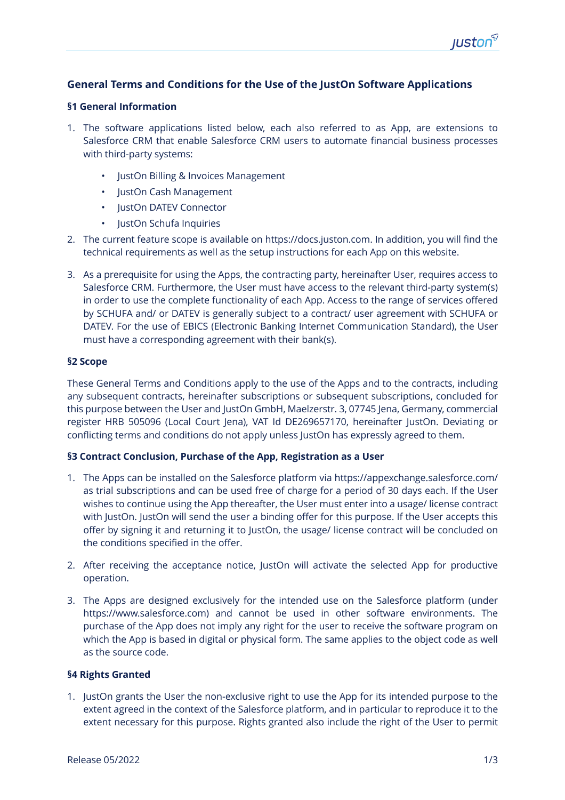# **General Terms and Conditions for the Use of the JustOn Software Applications**

#### **§1 General Information**

- 1. The software applications listed below, each also referred to as App, are extensions to Salesforce CRM that enable Salesforce CRM users to automate financial business processes with third-party systems:
	- JustOn Billing & Invoices Management
	- JustOn Cash Management
	- JustOn DATEV Connector
	- JustOn Schufa Inquiries
- 2. The current feature scope is available on https://docs.juston.com. In addition, you will find the technical requirements as well as the setup instructions for each App on this website.
- 3. As a prerequisite for using the Apps, the contracting party, hereinafter User, requires access to Salesforce CRM. Furthermore, the User must have access to the relevant third-party system(s) in order to use the complete functionality of each App. Access to the range of services offered by SCHUFA and/ or DATEV is generally subject to a contract/ user agreement with SCHUFA or DATEV. For the use of EBICS (Electronic Banking Internet Communication Standard), the User must have a corresponding agreement with their bank(s).

## **§2 Scope**

These General Terms and Conditions apply to the use of the Apps and to the contracts, including any subsequent contracts, hereinafter subscriptions or subsequent subscriptions, concluded for this purpose between the User and JustOn GmbH, Maelzerstr. 3, 07745 Jena, Germany, commercial register HRB 505096 (Local Court Jena), VAT Id DE269657170, hereinafter JustOn. Deviating or conflicting terms and conditions do not apply unless JustOn has expressly agreed to them.

# **§3 Contract Conclusion, Purchase of the App, Registration as a User**

- 1. The Apps can be installed on the Salesforce platform via https://appexchange.salesforce.com/ as trial subscriptions and can be used free of charge for a period of 30 days each. If the User wishes to continue using the App thereafter, the User must enter into a usage/ license contract with JustOn. JustOn will send the user a binding offer for this purpose. If the User accepts this offer by signing it and returning it to JustOn, the usage/ license contract will be concluded on the conditions specified in the offer.
- 2. After receiving the acceptance notice, JustOn will activate the selected App for productive operation.
- 3. The Apps are designed exclusively for the intended use on the Salesforce platform (under https://www.salesforce.com) and cannot be used in other software environments. The purchase of the App does not imply any right for the user to receive the software program on which the App is based in digital or physical form. The same applies to the object code as well as the source code.

#### **§4 Rights Granted**

1. JustOn grants the User the non-exclusive right to use the App for its intended purpose to the extent agreed in the context of the Salesforce platform, and in particular to reproduce it to the extent necessary for this purpose. Rights granted also include the right of the User to permit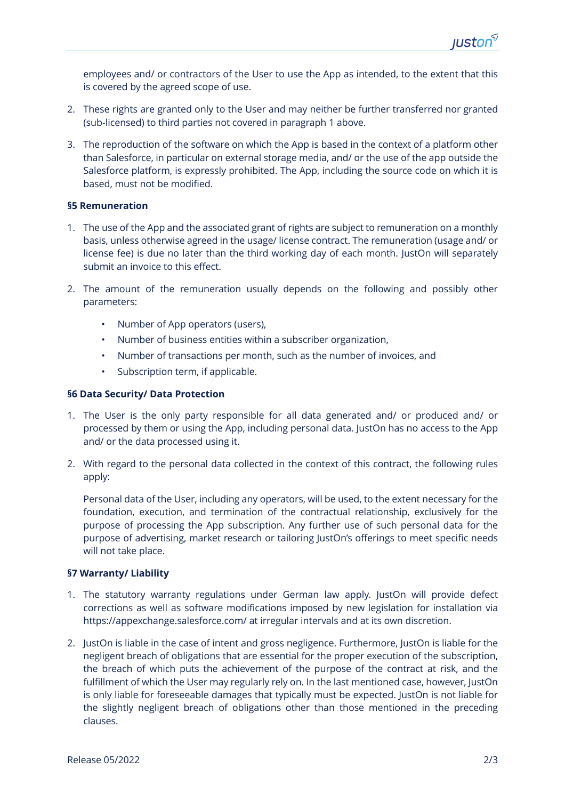employees and/ or contractors of the User to use the App as intended, to the extent that this is covered by the agreed scope of use.

- 2. These rights are granted only to the User and may neither be further transferred nor granted (sub-licensed) to third parties not covered in paragraph 1 above.
- 3. The reproduction of the software on which the App is based in the context of a platform other than Salesforce, in particular on external storage media, and/ or the use of the app outside the Salesforce platform, is expressly prohibited. The App, including the source code on which it is based, must not be modified.

## **§5 Remuneration**

- 1. The use of the App and the associated grant of rights are subject to remuneration on a monthly basis, unless otherwise agreed in the usage/ license contract. The remuneration (usage and/ or license fee) is due no later than the third working day of each month. JustOn will separately submit an invoice to this effect.
- 2. The amount of the remuneration usually depends on the following and possibly other parameters:
	- Number of App operators (users),
	- Number of business entities within a subscriber organization,
	- Number of transactions per month, such as the number of invoices, and
	- Subscription term, if applicable.

## **§6 Data Security/ Data Protection**

- 1. The User is the only party responsible for all data generated and/ or produced and/ or processed by them or using the App, including personal data. JustOn has no access to the App and/ or the data processed using it.
- 2. With regard to the personal data collected in the context of this contract, the following rules apply:

Personal data of the User, including any operators, will be used, to the extent necessary for the foundation, execution, and termination of the contractual relationship, exclusively for the purpose of processing the App subscription. Any further use of such personal data for the purpose of advertising, market research or tailoring JustOn's offerings to meet specific needs will not take place.

#### **§7 Warranty/ Liability**

- 1. The statutory warranty regulations under German law apply. JustOn will provide defect corrections as well as software modifications imposed by new legislation for installation via https://appexchange.salesforce.com/ at irregular intervals and at its own discretion.
- 2. JustOn is liable in the case of intent and gross negligence. Furthermore, JustOn is liable for the negligent breach of obligations that are essential for the proper execution of the subscription, the breach of which puts the achievement of the purpose of the contract at risk, and the fulfillment of which the User may regularly rely on. In the last mentioned case, however, JustOn is only liable for foreseeable damages that typically must be expected. JustOn is not liable for the slightly negligent breach of obligations other than those mentioned in the preceding clauses.